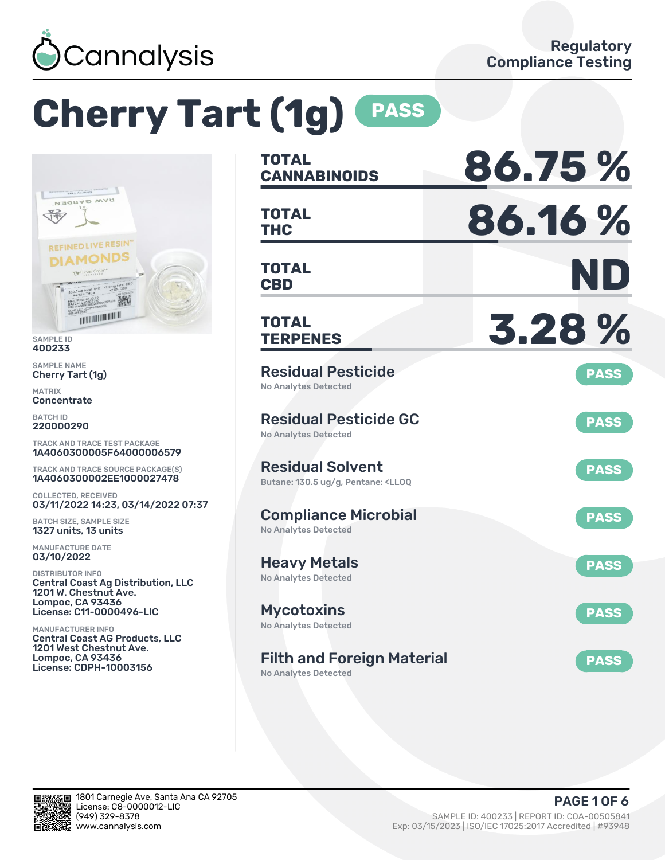

# **Cherry Tart (1g) PASS**



400233

SAMPLE NAME Cherry Tart (1g)

MATRIX Concentrate

BATCH ID 220000290

TRACK AND TRACE TEST PACKAGE 1A4060300005F64000006579

TRACK AND TRACE SOURCE PACKAGE(S) 1A4060300002EE1000027478

COLLECTED, RECEIVED 03/11/2022 14:23, 03/14/2022 07:37

BATCH SIZE, SAMPLE SIZE 1327 units, 13 units

MANUFACTURE DATE 03/10/2022

DISTRIBUTOR INFO Central Coast Ag Distribution, LLC 1201 W. Chestnut Ave. Lompoc, CA 93436 License: C11-0000496-LIC

MANUFACTURER INFO Central Coast AG Products, LLC 1201 West Chestnut Ave. Lompoc, CA 93436 License: CDPH-10003156

| <b>TOTAL</b><br><b>CANNABINOIDS</b>                                                               | 86.75%      |
|---------------------------------------------------------------------------------------------------|-------------|
| <b>TOTAL</b><br><b>THC</b>                                                                        | 86.16%      |
| <b>TOTAL</b><br><b>CBD</b>                                                                        | ND          |
| <b>TOTAL</b><br><b>TERPENES</b>                                                                   | 3.28%       |
| <b>Residual Pesticide</b><br>No Analytes Detected                                                 | <b>PASS</b> |
| <b>Residual Pesticide GC</b><br><b>No Analytes Detected</b>                                       | <b>PASS</b> |
| <b>Residual Solvent</b><br>Butane: 130.5 ug/g, Pentane: <ll0q< td=""><td><b>PASS</b></td></ll0q<> | <b>PASS</b> |
| <b>Compliance Microbial</b><br><b>No Analytes Detected</b>                                        | <b>PASS</b> |
| <b>Heavy Metals</b><br><b>No Analytes Detected</b>                                                | <b>PASS</b> |
| Mycotoxins<br>No Analytes Detected                                                                | <b>PASS</b> |
| <b>Filth and Foreign Material</b>                                                                 | <b>PASS</b> |

No Analytes Detected

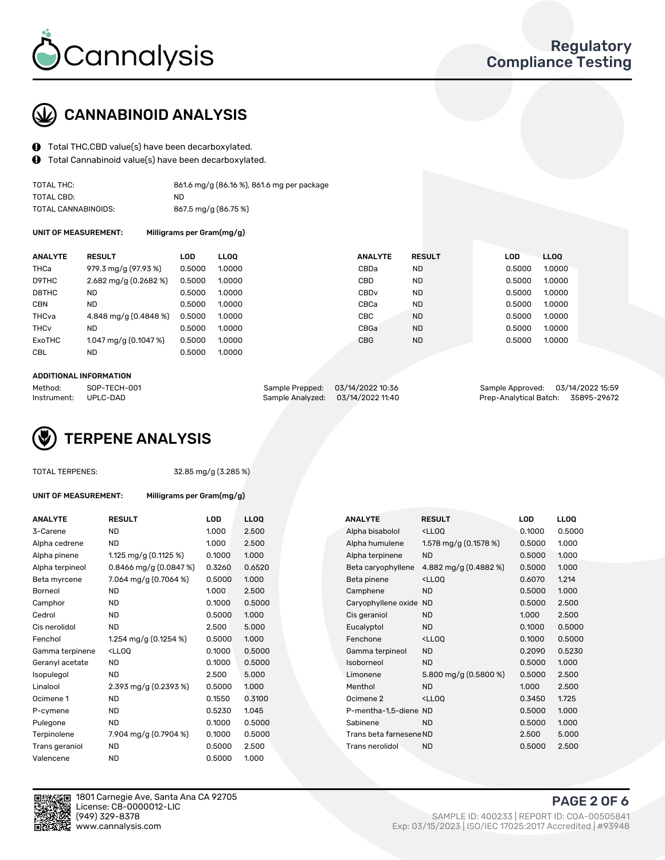

## CANNABINOID ANALYSIS

- Total THC,CBD value(s) have been decarboxylated.
- Total Cannabinoid value(s) have been decarboxylated.  $\mathbf{\Theta}$

| TOTAL THC:          | 861.6 mg/g (86.16 %), 861.6 mg per package |
|---------------------|--------------------------------------------|
| TOTAL CBD:          | ND.                                        |
| TOTAL CANNABINOIDS: | 867.5 mg/g (86.75 %)                       |

UNIT OF MEASUREMENT: Milligrams per Gram(mg/g)

| <b>ANALYTE</b>         | <b>RESULT</b>           | LOD    | LLOO   | <b>ANALYTE</b>   | <b>RESULT</b> | LOD    | LL <sub>00</sub> |
|------------------------|-------------------------|--------|--------|------------------|---------------|--------|------------------|
| <b>THCa</b>            | 979.3 mg/g (97.93 %)    | 0.5000 | 1.0000 | CBDa             | ND.           | 0.5000 | 1.0000           |
| D9THC                  | $2.682$ mg/g (0.2682 %) | 0.5000 | 1.0000 | CBD              | <b>ND</b>     | 0.5000 | 1.0000           |
| D8THC                  | ND.                     | 0.5000 | 1.0000 | CBD <sub>v</sub> | <b>ND</b>     | 0.5000 | 1.0000           |
| <b>CBN</b>             | <b>ND</b>               | 0.5000 | 1.0000 | CBCa             | <b>ND</b>     | 0.5000 | 1.0000           |
| THCva                  | 4.848 mg/g (0.4848 %)   | 0.5000 | 1.0000 | CBC              | <b>ND</b>     | 0.5000 | 1.0000           |
| <b>THC<sub>v</sub></b> | <b>ND</b>               | 0.5000 | 1.0000 | CBGa             | <b>ND</b>     | 0.5000 | 1.0000           |
| ExoTHC                 | $1.047$ mg/g (0.1047 %) | 0.5000 | 1.0000 | <b>CBG</b>       | <b>ND</b>     | 0.5000 | 1.0000           |
| <b>CBL</b>             | ND.                     | 0.5000 | 1.0000 |                  |               |        |                  |
|                        |                         |        |        |                  |               |        |                  |

#### ADDITIONAL INFORMATION

| Method:              | SOP-TECH-001 |                                   | Sample Prepped: 03/14/2022 10:36 | Sample Approved: 03/14/2022 15:59  |  |
|----------------------|--------------|-----------------------------------|----------------------------------|------------------------------------|--|
| Instrument: UPLC-DAD |              | Sample Analyzed: 03/14/2022 11:40 |                                  | Prep-Analytical Batch: 35895-29672 |  |

## TERPENE ANALYSIS

|  | <b>TOTAL TERPENES:</b> |
|--|------------------------|
|--|------------------------|

32.85 mg/g (3.285 %)

UNIT OF MEASUREMENT: Milligrams per Gram(mg/g)

| <b>ANALYTE</b>  | <b>RESULT</b>                                                                                                                       | LOD    | <b>LLOO</b> |  | <b>ANALYTE</b>          | <b>RESULT</b>                                      | <b>LOD</b> | <b>LLOQ</b> |
|-----------------|-------------------------------------------------------------------------------------------------------------------------------------|--------|-------------|--|-------------------------|----------------------------------------------------|------------|-------------|
| 3-Carene        | <b>ND</b>                                                                                                                           | 1.000  | 2.500       |  | Alpha bisabolol         | <ll0q< td=""><td>0.1000</td><td>0.500</td></ll0q<> | 0.1000     | 0.500       |
| Alpha cedrene   | ND                                                                                                                                  | 1.000  | 2.500       |  | Alpha humulene          | 1.578 mg/g (0.1578 %)                              | 0.5000     | 1.000       |
| Alpha pinene    | 1.125 mg/g $(0.1125%)$                                                                                                              | 0.1000 | 1.000       |  | Alpha terpinene         | <b>ND</b>                                          | 0.5000     | 1.000       |
| Alpha terpineol | 0.8466 mg/g $(0.0847%)$                                                                                                             | 0.3260 | 0.6520      |  | Beta caryophyllene      | 4.882 mg/g (0.4882 %)                              | 0.5000     | 1.000       |
| Beta myrcene    | 7.064 mg/g (0.7064 %)                                                                                                               | 0.5000 | 1.000       |  | Beta pinene             | <ll0q< td=""><td>0.6070</td><td>1.214</td></ll0q<> | 0.6070     | 1.214       |
| Borneol         | <b>ND</b>                                                                                                                           | 1.000  | 2.500       |  | Camphene                | <b>ND</b>                                          | 0.5000     | 1.000       |
| Camphor         | <b>ND</b>                                                                                                                           | 0.1000 | 0.5000      |  | Caryophyllene oxide ND  |                                                    | 0.5000     | 2.500       |
| Cedrol          | ND                                                                                                                                  | 0.5000 | 1.000       |  | Cis geraniol            | <b>ND</b>                                          | 1.000      | 2.500       |
| Cis nerolidol   | <b>ND</b>                                                                                                                           | 2.500  | 5.000       |  | Eucalyptol              | <b>ND</b>                                          | 0.1000     | 0.500       |
| Fenchol         | 1.254 mg/g $(0.1254\%)$                                                                                                             | 0.5000 | 1.000       |  | Fenchone                | <lloq< td=""><td>0.1000</td><td>0.500</td></lloq<> | 0.1000     | 0.500       |
| Gamma terpinene | <lloq< td=""><td>0.1000</td><td>0.5000</td><td></td><td>Gamma terpineol</td><td><b>ND</b></td><td>0.2090</td><td>0.523</td></lloq<> | 0.1000 | 0.5000      |  | Gamma terpineol         | <b>ND</b>                                          | 0.2090     | 0.523       |
| Geranyl acetate | <b>ND</b>                                                                                                                           | 0.1000 | 0.5000      |  | Isoborneol              | <b>ND</b>                                          | 0.5000     | 1.000       |
| Isopulegol      | <b>ND</b>                                                                                                                           | 2.500  | 5.000       |  | Limonene                | 5.800 mg/g $(0.5800\%)$                            | 0.5000     | 2.500       |
| Linalool        | 2.393 mg/g (0.2393 %)                                                                                                               | 0.5000 | 1.000       |  | Menthol                 | <b>ND</b>                                          | 1.000      | 2.500       |
| Ocimene 1       | <b>ND</b>                                                                                                                           | 0.1550 | 0.3100      |  | Ocimene 2               | $<$ LLOO                                           | 0.3450     | 1.725       |
| P-cymene        | ND                                                                                                                                  | 0.5230 | 1.045       |  | P-mentha-1,5-diene ND   |                                                    | 0.5000     | 1.000       |
| Pulegone        | <b>ND</b>                                                                                                                           | 0.1000 | 0.5000      |  | Sabinene                | <b>ND</b>                                          | 0.5000     | 1.000       |
| Terpinolene     | 7.904 mg/g (0.7904 %)                                                                                                               | 0.1000 | 0.5000      |  | Trans beta farnesene ND |                                                    | 2.500      | 5.000       |
| Trans geraniol  | ND                                                                                                                                  | 0.5000 | 2.500       |  | Trans nerolidol         | <b>ND</b>                                          | 0.5000     | 2.500       |
| Valencene       | <b>ND</b>                                                                                                                           | 0.5000 | 1.000       |  |                         |                                                    |            |             |

| ANALYTE         | <b>RESULT</b>                                                                                                                        | LOD    | <b>LLOQ</b> |  | <b>ANALYTE</b>          | <b>RESULT</b>                                       | LOD    | <b>LLOQ</b> |
|-----------------|--------------------------------------------------------------------------------------------------------------------------------------|--------|-------------|--|-------------------------|-----------------------------------------------------|--------|-------------|
| 3-Carene        | <b>ND</b>                                                                                                                            | 1.000  | 2.500       |  | Alpha bisabolol         | <ll0q< td=""><td>0.1000</td><td>0.5000</td></ll0q<> | 0.1000 | 0.5000      |
| Alpha cedrene   | ND                                                                                                                                   | 1.000  | 2.500       |  | Alpha humulene          | 1.578 mg/g $(0.1578\%)$                             | 0.5000 | 1.000       |
| Alpha pinene    | 1.125 mg/g $(0.1125 \%)$                                                                                                             | 0.1000 | 1.000       |  | Alpha terpinene         | <b>ND</b>                                           | 0.5000 | 1.000       |
| Alpha terpineol | 0.8466 mg/g $(0.0847%)$                                                                                                              | 0.3260 | 0.6520      |  | Beta caryophyllene      | 4.882 mg/g (0.4882 %)                               | 0.5000 | 1.000       |
| Beta myrcene    | 7.064 mg/g (0.7064 %)                                                                                                                | 0.5000 | 1.000       |  | Beta pinene             | <lloq< td=""><td>0.6070</td><td>1.214</td></lloq<>  | 0.6070 | 1.214       |
| Borneol         | <b>ND</b>                                                                                                                            | 1.000  | 2.500       |  | Camphene                | <b>ND</b>                                           | 0.5000 | 1.000       |
| Camphor         | <b>ND</b>                                                                                                                            | 0.1000 | 0.5000      |  | Caryophyllene oxide ND  |                                                     | 0.5000 | 2.500       |
| Cedrol          | <b>ND</b>                                                                                                                            | 0.5000 | 1.000       |  | Cis geraniol            | <b>ND</b>                                           | 1.000  | 2.500       |
| Cis nerolidol   | <b>ND</b>                                                                                                                            | 2.500  | 5.000       |  | Eucalyptol              | <b>ND</b>                                           | 0.1000 | 0.5000      |
| Fenchol         | 1.254 mg/g (0.1254 %)                                                                                                                | 0.5000 | 1.000       |  | Fenchone                | <lloq< td=""><td>0.1000</td><td>0.5000</td></lloq<> | 0.1000 | 0.5000      |
| Gamma terpinene | <lloq< td=""><td>0.1000</td><td>0.5000</td><td></td><td>Gamma terpineol</td><td><b>ND</b></td><td>0.2090</td><td>0.5230</td></lloq<> | 0.1000 | 0.5000      |  | Gamma terpineol         | <b>ND</b>                                           | 0.2090 | 0.5230      |
| Geranyl acetate | ND.                                                                                                                                  | 0.1000 | 0.5000      |  | Isoborneol              | <b>ND</b>                                           | 0.5000 | 1.000       |
| Isopulegol      | <b>ND</b>                                                                                                                            | 2.500  | 5.000       |  | Limonene                | 5.800 mg/g (0.5800 %)                               | 0.5000 | 2.500       |
| Linalool        | 2.393 mg/g $(0.2393\%)$                                                                                                              | 0.5000 | 1.000       |  | Menthol                 | <b>ND</b>                                           | 1.000  | 2.500       |
| Ocimene 1       | <b>ND</b>                                                                                                                            | 0.1550 | 0.3100      |  | Ocimene 2               | <ll0q< td=""><td>0.3450</td><td>1.725</td></ll0q<>  | 0.3450 | 1.725       |
| P-cymene        | <b>ND</b>                                                                                                                            | 0.5230 | 1.045       |  | P-mentha-1,5-diene ND   |                                                     | 0.5000 | 1.000       |
| Pulegone        | <b>ND</b>                                                                                                                            | 0.1000 | 0.5000      |  | Sabinene                | <b>ND</b>                                           | 0.5000 | 1.000       |
| Terpinolene     | 7.904 mg/g (0.7904 %)                                                                                                                | 0.1000 | 0.5000      |  | Trans beta farnesene ND |                                                     | 2.500  | 5.000       |
| Trans geraniol  | <b>ND</b>                                                                                                                            | 0.5000 | 2.500       |  | Trans nerolidol         | <b>ND</b>                                           | 0.5000 | 2.500       |
|                 |                                                                                                                                      |        |             |  |                         |                                                     |        |             |



1801 Carnegie Ave, Santa Ana CA 92705 License: C8-0000012-LIC<br>(949) 329-8378

PAGE 2 OF 6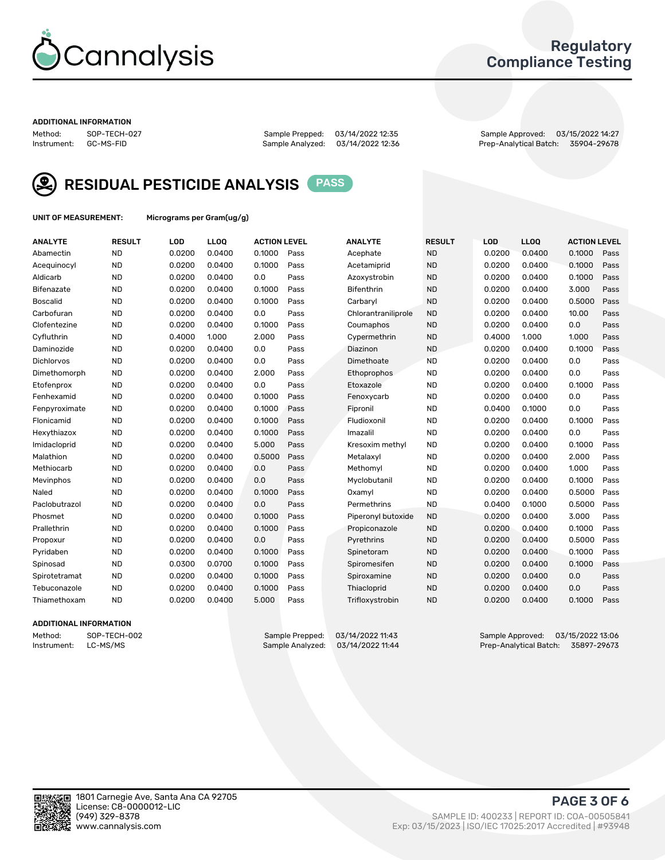

## Regulatory Compliance Testing

#### ADDITIONAL INFORMATION

Method: SOP-TECH-027 Sample Prepped: 03/14/2022 12:35 Sample Approved: 03/15/2022 14:27 Prep-Analytical Batch: 35904-29678



RESIDUAL PESTICIDE ANALYSIS PASS

UNIT OF MEASUREMENT: Micrograms per Gram(ug/g)

| <b>ANALYTE</b>    | <b>RESULT</b> | LOD    | LL <sub>OO</sub> | <b>ACTION LEVEL</b> |      | <b>ANALYTE</b>      | <b>RESULT</b> | <b>LOD</b> | <b>LLOQ</b> | <b>ACTION LEVEL</b> |      |
|-------------------|---------------|--------|------------------|---------------------|------|---------------------|---------------|------------|-------------|---------------------|------|
| Abamectin         | <b>ND</b>     | 0.0200 | 0.0400           | 0.1000              | Pass | Acephate            | <b>ND</b>     | 0.0200     | 0.0400      | 0.1000              | Pass |
| Acequinocyl       | <b>ND</b>     | 0.0200 | 0.0400           | 0.1000              | Pass | Acetamiprid         | <b>ND</b>     | 0.0200     | 0.0400      | 0.1000              | Pass |
| Aldicarb          | <b>ND</b>     | 0.0200 | 0.0400           | 0.0                 | Pass | Azoxystrobin        | <b>ND</b>     | 0.0200     | 0.0400      | 0.1000              | Pass |
| Bifenazate        | <b>ND</b>     | 0.0200 | 0.0400           | 0.1000              | Pass | <b>Bifenthrin</b>   | <b>ND</b>     | 0.0200     | 0.0400      | 3.000               | Pass |
| <b>Boscalid</b>   | <b>ND</b>     | 0.0200 | 0.0400           | 0.1000              | Pass | Carbaryl            | <b>ND</b>     | 0.0200     | 0.0400      | 0.5000              | Pass |
| Carbofuran        | <b>ND</b>     | 0.0200 | 0.0400           | 0.0                 | Pass | Chlorantraniliprole | <b>ND</b>     | 0.0200     | 0.0400      | 10.00               | Pass |
| Clofentezine      | <b>ND</b>     | 0.0200 | 0.0400           | 0.1000              | Pass | Coumaphos           | <b>ND</b>     | 0.0200     | 0.0400      | 0.0                 | Pass |
| Cyfluthrin        | <b>ND</b>     | 0.4000 | 1.000            | 2.000               | Pass | Cypermethrin        | <b>ND</b>     | 0.4000     | 1.000       | 1.000               | Pass |
| Daminozide        | <b>ND</b>     | 0.0200 | 0.0400           | 0.0                 | Pass | Diazinon            | <b>ND</b>     | 0.0200     | 0.0400      | 0.1000              | Pass |
| <b>Dichlorvos</b> | <b>ND</b>     | 0.0200 | 0.0400           | 0.0                 | Pass | Dimethoate          | <b>ND</b>     | 0.0200     | 0.0400      | 0.0                 | Pass |
| Dimethomorph      | <b>ND</b>     | 0.0200 | 0.0400           | 2.000               | Pass | <b>Ethoprophos</b>  | <b>ND</b>     | 0.0200     | 0.0400      | 0.0                 | Pass |
| Etofenprox        | <b>ND</b>     | 0.0200 | 0.0400           | 0.0                 | Pass | Etoxazole           | <b>ND</b>     | 0.0200     | 0.0400      | 0.1000              | Pass |
| Fenhexamid        | <b>ND</b>     | 0.0200 | 0.0400           | 0.1000              | Pass | Fenoxycarb          | <b>ND</b>     | 0.0200     | 0.0400      | 0.0                 | Pass |
| Fenpyroximate     | <b>ND</b>     | 0.0200 | 0.0400           | 0.1000              | Pass | Fipronil            | <b>ND</b>     | 0.0400     | 0.1000      | 0.0                 | Pass |
| Flonicamid        | <b>ND</b>     | 0.0200 | 0.0400           | 0.1000              | Pass | Fludioxonil         | <b>ND</b>     | 0.0200     | 0.0400      | 0.1000              | Pass |
| Hexythiazox       | <b>ND</b>     | 0.0200 | 0.0400           | 0.1000              | Pass | Imazalil            | <b>ND</b>     | 0.0200     | 0.0400      | 0.0                 | Pass |
| Imidacloprid      | <b>ND</b>     | 0.0200 | 0.0400           | 5.000               | Pass | Kresoxim methyl     | <b>ND</b>     | 0.0200     | 0.0400      | 0.1000              | Pass |
| Malathion         | <b>ND</b>     | 0.0200 | 0.0400           | 0.5000              | Pass | Metalaxyl           | <b>ND</b>     | 0.0200     | 0.0400      | 2.000               | Pass |
| Methiocarb        | <b>ND</b>     | 0.0200 | 0.0400           | 0.0                 | Pass | Methomyl            | <b>ND</b>     | 0.0200     | 0.0400      | 1.000               | Pass |
| Mevinphos         | <b>ND</b>     | 0.0200 | 0.0400           | 0.0                 | Pass | Myclobutanil        | <b>ND</b>     | 0.0200     | 0.0400      | 0.1000              | Pass |
| Naled             | <b>ND</b>     | 0.0200 | 0.0400           | 0.1000              | Pass | Oxamyl              | <b>ND</b>     | 0.0200     | 0.0400      | 0.5000              | Pass |
| Paclobutrazol     | <b>ND</b>     | 0.0200 | 0.0400           | 0.0                 | Pass | Permethrins         | <b>ND</b>     | 0.0400     | 0.1000      | 0.5000              | Pass |
| Phosmet           | <b>ND</b>     | 0.0200 | 0.0400           | 0.1000              | Pass | Piperonyl butoxide  | <b>ND</b>     | 0.0200     | 0.0400      | 3.000               | Pass |
| Prallethrin       | <b>ND</b>     | 0.0200 | 0.0400           | 0.1000              | Pass | Propiconazole       | <b>ND</b>     | 0.0200     | 0.0400      | 0.1000              | Pass |
| Propoxur          | <b>ND</b>     | 0.0200 | 0.0400           | 0.0                 | Pass | Pyrethrins          | <b>ND</b>     | 0.0200     | 0.0400      | 0.5000              | Pass |
| Pyridaben         | <b>ND</b>     | 0.0200 | 0.0400           | 0.1000              | Pass | Spinetoram          | <b>ND</b>     | 0.0200     | 0.0400      | 0.1000              | Pass |
| Spinosad          | <b>ND</b>     | 0.0300 | 0.0700           | 0.1000              | Pass | Spiromesifen        | <b>ND</b>     | 0.0200     | 0.0400      | 0.1000              | Pass |
| Spirotetramat     | <b>ND</b>     | 0.0200 | 0.0400           | 0.1000              | Pass | Spiroxamine         | <b>ND</b>     | 0.0200     | 0.0400      | 0.0                 | Pass |
| Tebuconazole      | <b>ND</b>     | 0.0200 | 0.0400           | 0.1000              | Pass | Thiacloprid         | <b>ND</b>     | 0.0200     | 0.0400      | 0.0                 | Pass |
| Thiamethoxam      | <b>ND</b>     | 0.0200 | 0.0400           | 5.000               | Pass | Trifloxystrobin     | <b>ND</b>     | 0.0200     | 0.0400      | 0.1000              | Pass |

#### ADDITIONAL INFORMATION

Method: SOP-TECH-002 Sample Prepped: 03/14/2022 11:43 Sample Approved: 03/15/2022 13:06<br>Instrument: LC-MS/MS Sample Analyzed: 03/14/2022 11:44 Prep-Analytical Batch: 35897-29673 Prep-Analytical Batch: 35897-29673

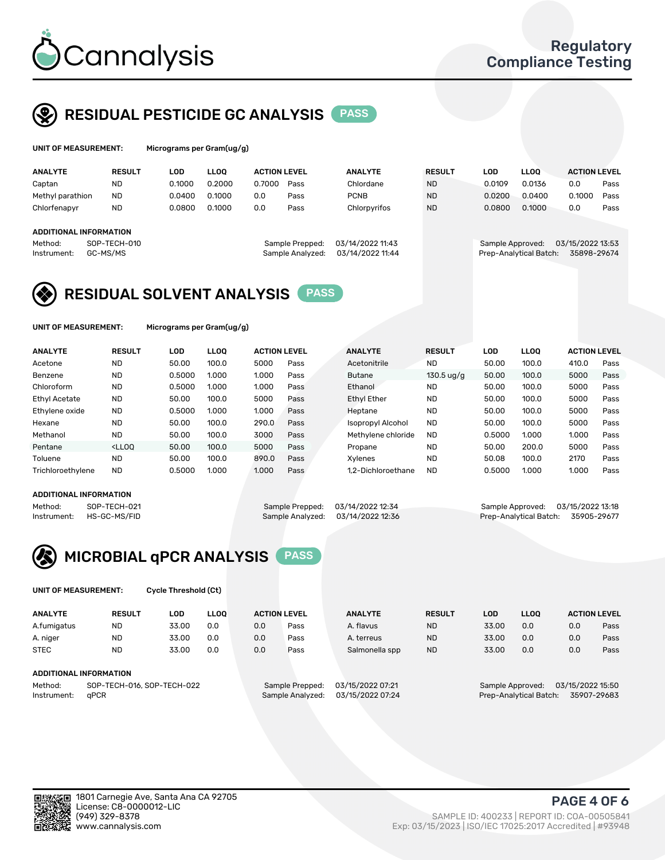

UNIT OF MEASUREMENT: Micrograms per Gram(ug/g)

## RESIDUAL PESTICIDE GC ANALYSIS PASS

| <b>ANALYTE</b>         | <b>RESULT</b> | LOD    | <b>LLOO</b> | <b>ACTION LEVEL</b> |                  | <b>ANALYTE</b>   | <b>RESULT</b> | LOD              | <b>LLOO</b>            | <b>ACTION LEVEL</b> |      |
|------------------------|---------------|--------|-------------|---------------------|------------------|------------------|---------------|------------------|------------------------|---------------------|------|
| Captan                 | <b>ND</b>     | 0.1000 | 0.2000      | 0.7000              | Pass             | Chlordane        | <b>ND</b>     | 0.0109           | 0.0136                 | 0.0                 | Pass |
| Methyl parathion       | <b>ND</b>     | 0.0400 | 0.1000      | 0.0                 | Pass             | <b>PCNB</b>      | <b>ND</b>     | 0.0200           | 0.0400                 | 0.1000              | Pass |
| Chlorfenapyr           | <b>ND</b>     | 0.0800 | 0.1000      | 0.0                 | Pass             | Chlorpyrifos     | <b>ND</b>     | 0.0800           | 0.1000                 | 0.0                 | Pass |
|                        |               |        |             |                     |                  |                  |               |                  |                        |                     |      |
| ADDITIONAL INFORMATION |               |        |             |                     |                  |                  |               |                  |                        |                     |      |
| Method:                | SOP-TECH-010  |        |             |                     | Sample Prepped:  | 03/14/2022 11:43 |               | Sample Approved: |                        | 03/15/2022 13:53    |      |
| Instrument:            | GC-MS/MS      |        |             |                     | Sample Analyzed: | 03/14/2022 11:44 |               |                  | Prep-Analytical Batch: | 35898-29674         |      |

## RESIDUAL SOLVENT ANALYSIS PASS

UNIT OF MEASUREMENT: Micrograms per Gram(ug/g)

| <b>ANALYTE</b>       | <b>RESULT</b>                                                                                                                                                       | LOD    | <b>LLOO</b> | <b>ACTION LEVEL</b> |      | <b>ANALYTE</b>           | <b>RESULT</b>        | LOD    | <b>LLOO</b> | <b>ACTION LEVEL</b> |      |
|----------------------|---------------------------------------------------------------------------------------------------------------------------------------------------------------------|--------|-------------|---------------------|------|--------------------------|----------------------|--------|-------------|---------------------|------|
| Acetone              | <b>ND</b>                                                                                                                                                           | 50.00  | 100.0       | 5000                | Pass | Acetonitrile             | <b>ND</b>            | 50.00  | 100.0       | 410.0               | Pass |
| Benzene              | <b>ND</b>                                                                                                                                                           | 0.5000 | 1.000       | 1.000               | Pass | Butane                   | $130.5 \text{ ug/g}$ | 50.00  | 100.0       | 5000                | Pass |
| Chloroform           | <b>ND</b>                                                                                                                                                           | 0.5000 | 1.000       | 1.000               | Pass | Ethanol                  | <b>ND</b>            | 50.00  | 100.0       | 5000                | Pass |
| <b>Ethyl Acetate</b> | <b>ND</b>                                                                                                                                                           | 50.00  | 100.0       | 5000                | Pass | <b>Ethyl Ether</b>       | <b>ND</b>            | 50.00  | 100.0       | 5000                | Pass |
| Ethylene oxide       | <b>ND</b>                                                                                                                                                           | 0.5000 | 1.000       | 1.000               | Pass | Heptane                  | <b>ND</b>            | 50.00  | 100.0       | 5000                | Pass |
| Hexane               | <b>ND</b>                                                                                                                                                           | 50.00  | 100.0       | 290.0               | Pass | <b>Isopropyl Alcohol</b> | <b>ND</b>            | 50.00  | 100.0       | 5000                | Pass |
| Methanol             | <b>ND</b>                                                                                                                                                           | 50.00  | 100.0       | 3000                | Pass | Methylene chloride       | <b>ND</b>            | 0.5000 | 1.000       | 1.000               | Pass |
| Pentane              | <lloo< td=""><td>50.00</td><td>100.0</td><td>5000</td><td>Pass</td><td>Propane</td><td><b>ND</b></td><td>50.00</td><td>200.0</td><td>5000</td><td>Pass</td></lloo<> | 50.00  | 100.0       | 5000                | Pass | Propane                  | <b>ND</b>            | 50.00  | 200.0       | 5000                | Pass |
| Toluene              | <b>ND</b>                                                                                                                                                           | 50.00  | 100.0       | 890.0               | Pass | Xvlenes                  | <b>ND</b>            | 50.08  | 100.0       | 2170                | Pass |
| Trichloroethylene    | <b>ND</b>                                                                                                                                                           | 0.5000 | 1.000       | 1.000               | Pass | 1.2-Dichloroethane       | <b>ND</b>            | 0.5000 | 1.000       | 1.000               | Pass |

#### ADDITIONAL INFORMATION

Method: SOP-TECH-021 Sample Prepped: 03/14/2022 12:34 Sample Approved: 03/15/2022 13:18<br>Instrument: HS-GC-MS/FID Sample Analyzed: 03/14/2022 12:36 Prep-Analytical Batch: 35905-29677

Prep-Analytical Batch: 35905-29677



UNIT OF MEASUREMENT: Cycle Threshold (Ct)

| <b>ANALYTE</b> | <b>RESULT</b>              | LOD   | <b>LLOO</b> | <b>ACTION LEVEL</b> |                 | <b>ANALYTE</b>   | <b>RESULT</b> | LOD   | <b>LLOO</b>      |                  | <b>ACTION LEVEL</b> |
|----------------|----------------------------|-------|-------------|---------------------|-----------------|------------------|---------------|-------|------------------|------------------|---------------------|
| A.fumigatus    | <b>ND</b>                  | 33.00 | 0.0         | 0.0                 | Pass            | A. flavus        | <b>ND</b>     | 33.00 | 0.0              | 0.0              | Pass                |
| A. niger       | <b>ND</b>                  | 33.00 | 0.0         | 0.0                 | Pass            | A. terreus       | <b>ND</b>     | 33.00 | 0.0              | 0.0              | Pass                |
| <b>STEC</b>    | <b>ND</b>                  | 33.00 | 0.0         | 0.0                 | Pass            | Salmonella spp   | <b>ND</b>     | 33.00 | 0.0              | 0.0              | Pass                |
|                | ADDITIONAL INFORMATION     |       |             |                     |                 |                  |               |       |                  |                  |                     |
| Method:        | SOP-TECH-016, SOP-TECH-022 |       |             |                     | Sample Prepped: | 03/15/2022 07:21 |               |       | Sample Approved: | 03/15/2022 15:50 |                     |

Instrument: qPCR Sample Analyzed: 03/15/2022 07:24 Prep-Analytical Batch: 35907-29683

PAGE 4 OF 6

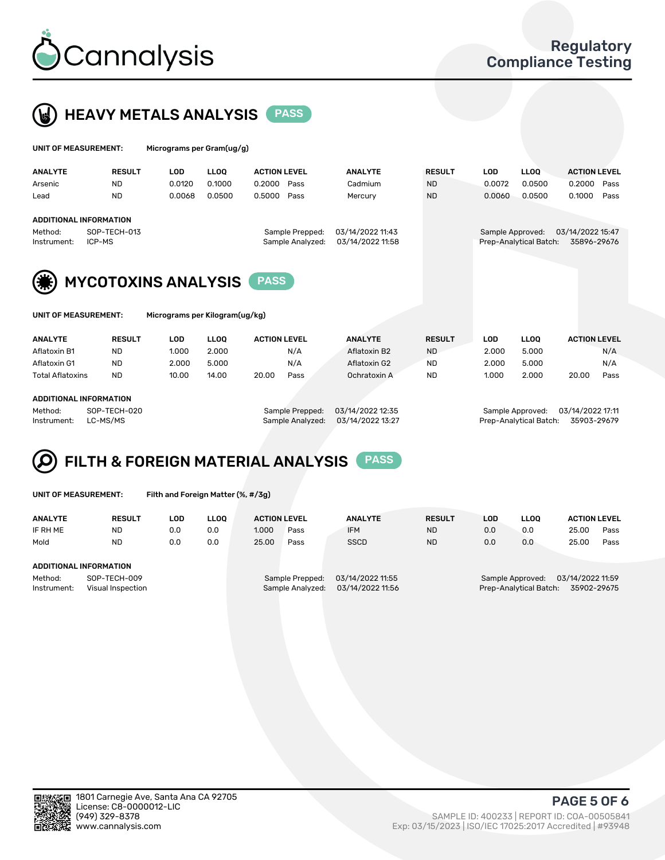



| UNIT OF MEASUREMENT:                                    |                                   | Micrograms per Gram(ug/g)      |                                 |                                                         |                                      |                                         |                                |                                 |                                                         |
|---------------------------------------------------------|-----------------------------------|--------------------------------|---------------------------------|---------------------------------------------------------|--------------------------------------|-----------------------------------------|--------------------------------|---------------------------------|---------------------------------------------------------|
| <b>ANALYTE</b><br>Arsenic<br>Lead                       | <b>RESULT</b><br>ND.<br><b>ND</b> | <b>LOD</b><br>0.0120<br>0.0068 | <b>LLOO</b><br>0.1000<br>0.0500 | <b>ACTION LEVEL</b><br>0.2000<br>Pass<br>0.5000<br>Pass | <b>ANALYTE</b><br>Cadmium<br>Mercury | <b>RESULT</b><br><b>ND</b><br><b>ND</b> | <b>LOD</b><br>0.0072<br>0.0060 | <b>LLOO</b><br>0.0500<br>0.0500 | <b>ACTION LEVEL</b><br>0.2000<br>Pass<br>0.1000<br>Pass |
| <b>ADDITIONAL INFORMATION</b><br>Method:<br>Instrument: | SOP-TECH-013<br>ICP-MS            |                                |                                 | Sample Prepped:<br>Sample Analyzed:                     | 03/14/2022 11:43<br>03/14/2022 11:58 |                                         | Sample Approved:               | Prep-Analytical Batch:          | 03/14/2022 15:47<br>35896-29676                         |
|                                                         |                                   | <b>MYCOTOXINS ANALYSIS</b>     |                                 | <b>PASS</b>                                             |                                      |                                         |                                |                                 |                                                         |

| UNIT OF MEASUREMENT: |  |
|----------------------|--|
|                      |  |

Micrograms per Kilogram(ug/kg)

| <b>ANALYTE</b>          | <b>RESULT</b> | LOD   | <b>LLOO</b> | <b>ACTION LEVEL</b> |      | <b>ANALYTE</b> | <b>RESULT</b> | LOD   | <b>LLOO</b> | <b>ACTION LEVEL</b> |      |
|-------------------------|---------------|-------|-------------|---------------------|------|----------------|---------------|-------|-------------|---------------------|------|
| Aflatoxin B1            | <b>ND</b>     | 1.000 | 2.000       |                     | N/A  | Aflatoxin B2   | <b>ND</b>     | 2.000 | 5.000       |                     | N/A  |
| Aflatoxin G1            | <b>ND</b>     | 2.000 | 5.000       |                     | N/A  | Aflatoxin G2   | <b>ND</b>     | 2.000 | 5.000       |                     | N/A  |
| <b>Total Aflatoxins</b> | <b>ND</b>     | 10.00 | 14.00       | 20.00               | Pass | Ochratoxin A   | <b>ND</b>     | 1.000 | 2.000       | 20.00               | Pass |
|                         |               |       |             |                     |      |                |               |       |             |                     |      |

#### ADDITIONAL INFORMATION

Method: SOP-TECH-020 Sample Prepped: 03/14/2022 12:35 Sample Approved: 03/14/2022 17:11 Instrument: LC-MS/MS Sample Analyzed: 03/14/2022 13:27 Prep-Analytical Batch: 35903-29679

# FILTH & FOREIGN MATERIAL ANALYSIS PASS

UNIT OF MEASUREMENT: Filth and Foreign Matter (%, #/3g)

| <b>ANALYTE</b>                                              | <b>RESULT</b> | LOD | <b>LLOO</b> | <b>ACTION LEVEL</b> |                                     | <b>ANALYTE</b>                       | <b>RESULT</b> | LOD | <b>LLOO</b> | <b>ACTION LEVEL</b>                                                           |      |  |  |
|-------------------------------------------------------------|---------------|-----|-------------|---------------------|-------------------------------------|--------------------------------------|---------------|-----|-------------|-------------------------------------------------------------------------------|------|--|--|
| IF RH ME                                                    | <b>ND</b>     | 0.0 | 0.0         | 1.000               | Pass                                | <b>IFM</b>                           | <b>ND</b>     | 0.0 | 0.0         | 25.00                                                                         | Pass |  |  |
| Mold                                                        | <b>ND</b>     | 0.0 | 0.0         | 25.00               | Pass                                | <b>SSCD</b>                          | <b>ND</b>     | 0.0 | 0.0         | 25.00                                                                         | Pass |  |  |
| ADDITIONAL INFORMATION                                      |               |     |             |                     |                                     |                                      |               |     |             |                                                                               |      |  |  |
| Method:<br>SOP-TECH-009<br>Instrument:<br>Visual Inspection |               |     |             |                     | Sample Prepped:<br>Sample Analyzed: | 03/14/2022 11:55<br>03/14/2022 11:56 |               |     |             | 03/14/2022 11:59<br>Sample Approved:<br>Prep-Analytical Batch:<br>35902-29675 |      |  |  |



PAGE 5 OF 6